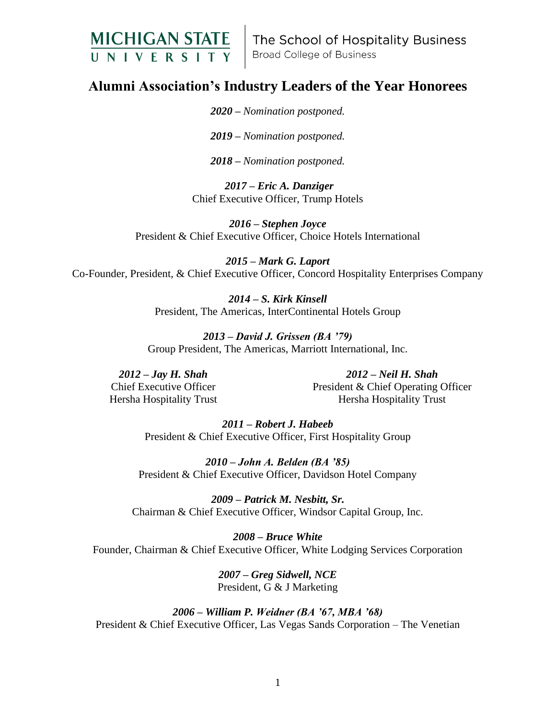

The School of Hospitality Business **Broad College of Business** 

## **Alumni Association's Industry Leaders of the Year Honorees**

*2020 – Nomination postponed.*

*2019 – Nomination postponed.*

*2018 – Nomination postponed.*

*2017 – Eric A. Danziger* Chief Executive Officer, Trump Hotels

*2016 – Stephen Joyce* President & Chief Executive Officer, Choice Hotels International

*2015 – Mark G. Laport* Co-Founder, President, & Chief Executive Officer, Concord Hospitality Enterprises Company

> *2014 – S. Kirk Kinsell*  President, The Americas, InterContinental Hotels Group

*2013 – David J. Grissen (BA '79)* Group President, The Americas, Marriott International, Inc.

*2012 – Jay H. Shah*  Chief Executive Officer Hersha Hospitality Trust

*2012 – Neil H. Shah*  President & Chief Operating Officer Hersha Hospitality Trust

*2011 – Robert J. Habeeb*  President & Chief Executive Officer, First Hospitality Group

*2010 – John A. Belden (BA '85)* President & Chief Executive Officer, Davidson Hotel Company

*2009 – Patrick M. Nesbitt, Sr.* Chairman & Chief Executive Officer, Windsor Capital Group, Inc.

*2008 – Bruce White* Founder, Chairman & Chief Executive Officer, White Lodging Services Corporation

> *2007 – Greg Sidwell, NCE* President, G & J Marketing

*2006 – William P. Weidner (BA '67, MBA '68)* President & Chief Executive Officer, Las Vegas Sands Corporation – The Venetian